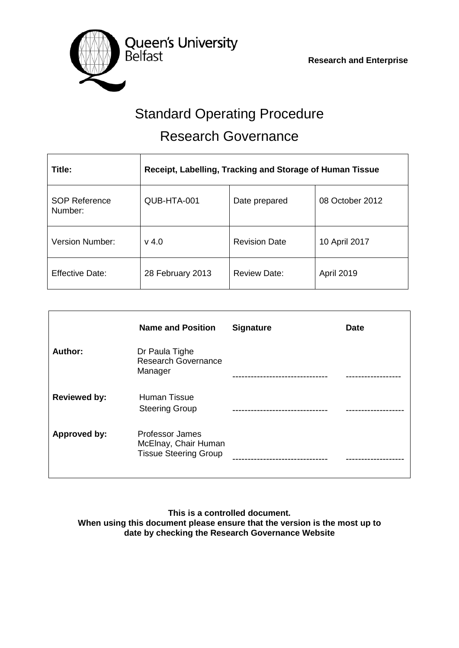

# Standard Operating Procedure Research Governance

| Title:                          | Receipt, Labelling, Tracking and Storage of Human Tissue |                      |                   |  |
|---------------------------------|----------------------------------------------------------|----------------------|-------------------|--|
| <b>SOP Reference</b><br>Number: | QUB-HTA-001                                              | Date prepared        | 08 October 2012   |  |
| <b>Version Number:</b>          | $v$ 4.0                                                  | <b>Revision Date</b> | 10 April 2017     |  |
| <b>Effective Date:</b>          | 28 February 2013                                         | <b>Review Date:</b>  | <b>April 2019</b> |  |

|                     | <b>Name and Position</b>                                                | <b>Signature</b> | <b>Date</b> |
|---------------------|-------------------------------------------------------------------------|------------------|-------------|
| Author:             | Dr Paula Tighe<br><b>Research Governance</b><br>Manager                 |                  |             |
| <b>Reviewed by:</b> | Human Tissue<br><b>Steering Group</b>                                   |                  |             |
| Approved by:        | Professor James<br>McElnay, Chair Human<br><b>Tissue Steering Group</b> |                  |             |

**This is a controlled document. When using this document please ensure that the version is the most up to date by checking the Research Governance Website**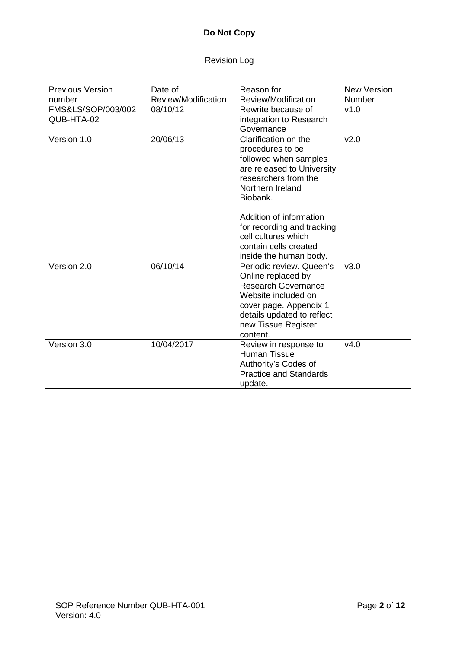# **Do Not Copy**

# Revision Log

| <b>Previous Version</b> | Date of             | Reason for                    | <b>New Version</b> |
|-------------------------|---------------------|-------------------------------|--------------------|
| number                  | Review/Modification | Review/Modification           | <b>Number</b>      |
| FMS&LS/SOP/003/002      | 08/10/12            | Rewrite because of            | v1.0               |
| QUB-HTA-02              |                     | integration to Research       |                    |
|                         |                     | Governance                    |                    |
| Version 1.0             | 20/06/13            | Clarification on the          | v2.0               |
|                         |                     | procedures to be              |                    |
|                         |                     | followed when samples         |                    |
|                         |                     | are released to University    |                    |
|                         |                     | researchers from the          |                    |
|                         |                     | Northern Ireland              |                    |
|                         |                     | Biobank.                      |                    |
|                         |                     |                               |                    |
|                         |                     | Addition of information       |                    |
|                         |                     | for recording and tracking    |                    |
|                         |                     | cell cultures which           |                    |
|                         |                     | contain cells created         |                    |
|                         |                     | inside the human body.        |                    |
| Version 2.0             | 06/10/14            | Periodic review. Queen's      | v3.0               |
|                         |                     | Online replaced by            |                    |
|                         |                     | <b>Research Governance</b>    |                    |
|                         |                     | Website included on           |                    |
|                         |                     | cover page. Appendix 1        |                    |
|                         |                     | details updated to reflect    |                    |
|                         |                     | new Tissue Register           |                    |
|                         |                     | content.                      |                    |
| Version 3.0             | 10/04/2017          | Review in response to         | v4.0               |
|                         |                     | Human Tissue                  |                    |
|                         |                     | Authority's Codes of          |                    |
|                         |                     | <b>Practice and Standards</b> |                    |
|                         |                     | update.                       |                    |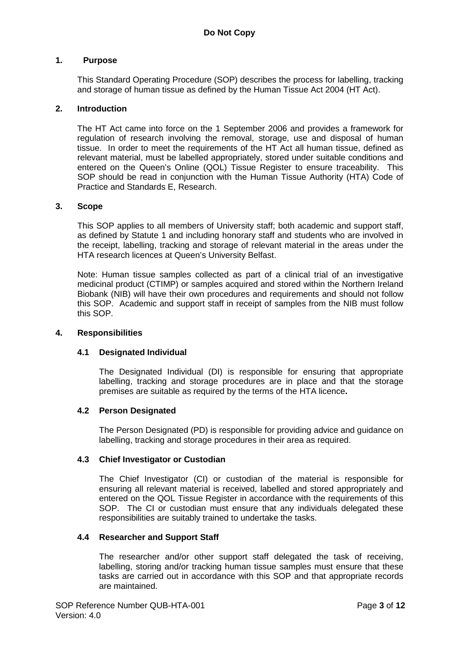#### **1. Purpose**

This Standard Operating Procedure (SOP) describes the process for labelling, tracking and storage of human tissue as defined by the Human Tissue Act 2004 (HT Act).

#### **2. Introduction**

The HT Act came into force on the 1 September 2006 and provides a framework for regulation of research involving the removal, storage, use and disposal of human tissue. In order to meet the requirements of the HT Act all human tissue, defined as relevant material, must be labelled appropriately, stored under suitable conditions and entered on the Queen's Online (QOL) Tissue Register to ensure traceability. This SOP should be read in conjunction with the Human Tissue Authority (HTA) Code of Practice and Standards E, Research.

#### **3. Scope**

This SOP applies to all members of University staff; both academic and support staff, as defined by Statute 1 and including honorary staff and students who are involved in the receipt, labelling, tracking and storage of relevant material in the areas under the HTA research licences at Queen's University Belfast.

Note: Human tissue samples collected as part of a clinical trial of an investigative medicinal product (CTIMP) or samples acquired and stored within the Northern Ireland Biobank (NIB) will have their own procedures and requirements and should not follow this SOP. Academic and support staff in receipt of samples from the NIB must follow this SOP.

#### **4. Responsibilities**

## **4.1 Designated Individual**

The Designated Individual (DI) is responsible for ensuring that appropriate labelling, tracking and storage procedures are in place and that the storage premises are suitable as required by the terms of the HTA licence**.**

## **4.2 Person Designated**

The Person Designated (PD) is responsible for providing advice and guidance on labelling, tracking and storage procedures in their area as required.

#### **4.3 Chief Investigator or Custodian**

The Chief Investigator (CI) or custodian of the material is responsible for ensuring all relevant material is received, labelled and stored appropriately and entered on the QOL Tissue Register in accordance with the requirements of this SOP. The CI or custodian must ensure that any individuals delegated these responsibilities are suitably trained to undertake the tasks.

#### **4.4 Researcher and Support Staff**

The researcher and/or other support staff delegated the task of receiving, labelling, storing and/or tracking human tissue samples must ensure that these tasks are carried out in accordance with this SOP and that appropriate records are maintained.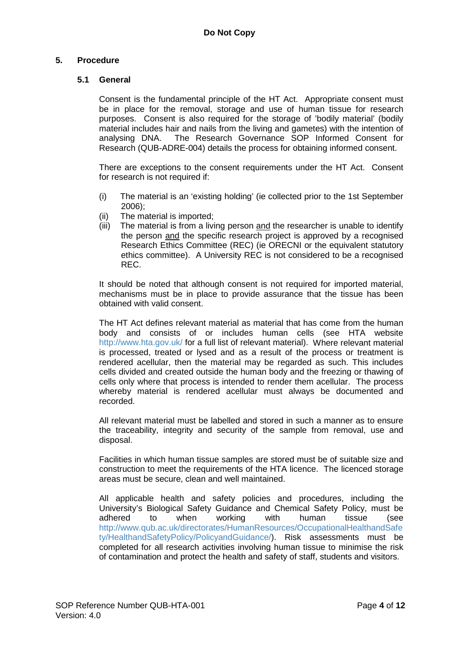# **5. Procedure**

## **5.1 General**

Consent is the fundamental principle of the HT Act. Appropriate consent must be in place for the removal, storage and use of human tissue for research purposes. Consent is also required for the storage of 'bodily material' (bodily material includes hair and nails from the living and gametes) with the intention of analysing DNA. The Research Governance SOP Informed Consent for Research (QUB-ADRE-004) details the process for obtaining informed consent.

There are exceptions to the consent requirements under the HT Act. Consent for research is not required if:

- (i) The material is an 'existing holding' (ie collected prior to the 1st September 2006);
- (ii) The material is imported;
- (iii) The material is from a living person and the researcher is unable to identify the person and the specific research project is approved by a recognised Research Ethics Committee (REC) (ie ORECNI or the equivalent statutory ethics committee). A University REC is not considered to be a recognised REC.

It should be noted that although consent is not required for imported material, mechanisms must be in place to provide assurance that the tissue has been obtained with valid consent.

The HT Act defines relevant material as material that has come from the human body and consists of or includes human cells (see HTA website <http://www.hta.gov.uk/> for a full list of relevant material). Where relevant material is processed, treated or lysed and as a result of the process or treatment is rendered acellular, then the material may be regarded as such. This includes cells divided and created outside the human body and the freezing or thawing of cells only where that process is intended to render them acellular. The process whereby material is rendered acellular must always be documented and recorded.

All relevant material must be labelled and stored in such a manner as to ensure the traceability, integrity and security of the sample from removal, use and disposal.

Facilities in which human tissue samples are stored must be of suitable size and construction to meet the requirements of the HTA licence. The licenced storage areas must be secure, clean and well maintained.

All applicable health and safety policies and procedures, including the University's Biological Safety Guidance and Chemical Safety Policy, must be adhered to when working with human tissue (see [http://www.qub.ac.uk/directorates/HumanResources/OccupationalHealthandSafe](http://www.qub.ac.uk/directorates/HumanResources/OccupationalHealthandSafety/HealthandSafetyPolicy/PolicyandGuidance/) [ty/HealthandSafetyPolicy/PolicyandGuidance/\)](http://www.qub.ac.uk/directorates/HumanResources/OccupationalHealthandSafety/HealthandSafetyPolicy/PolicyandGuidance/). Risk assessments must be completed for all research activities involving human tissue to minimise the risk of contamination and protect the health and safety of staff, students and visitors.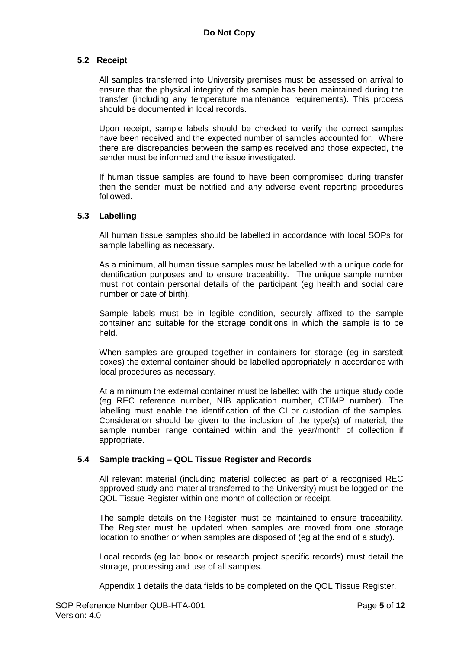## **5.2 Receipt**

All samples transferred into University premises must be assessed on arrival to ensure that the physical integrity of the sample has been maintained during the transfer (including any temperature maintenance requirements). This process should be documented in local records.

Upon receipt, sample labels should be checked to verify the correct samples have been received and the expected number of samples accounted for. Where there are discrepancies between the samples received and those expected, the sender must be informed and the issue investigated.

If human tissue samples are found to have been compromised during transfer then the sender must be notified and any adverse event reporting procedures followed.

## **5.3 Labelling**

All human tissue samples should be labelled in accordance with local SOPs for sample labelling as necessary.

As a minimum, all human tissue samples must be labelled with a unique code for identification purposes and to ensure traceability. The unique sample number must not contain personal details of the participant (eg health and social care number or date of birth).

Sample labels must be in legible condition, securely affixed to the sample container and suitable for the storage conditions in which the sample is to be held.

When samples are grouped together in containers for storage (eg in sarstedt boxes) the external container should be labelled appropriately in accordance with local procedures as necessary.

At a minimum the external container must be labelled with the unique study code (eg REC reference number, NIB application number, CTIMP number). The labelling must enable the identification of the CI or custodian of the samples. Consideration should be given to the inclusion of the type(s) of material, the sample number range contained within and the year/month of collection if appropriate.

## **5.4 Sample tracking – QOL Tissue Register and Records**

All relevant material (including material collected as part of a recognised REC approved study and material transferred to the University) must be logged on the QOL Tissue Register within one month of collection or receipt.

The sample details on the Register must be maintained to ensure traceability. The Register must be updated when samples are moved from one storage location to another or when samples are disposed of (eg at the end of a study).

Local records (eg lab book or research project specific records) must detail the storage, processing and use of all samples.

Appendix 1 details the data fields to be completed on the QOL Tissue Register.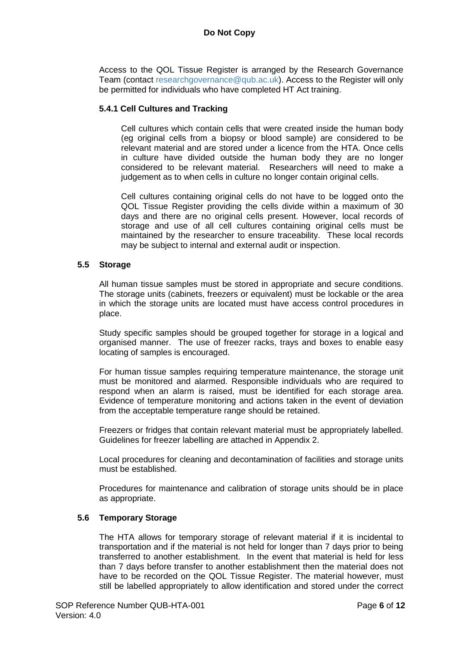Access to the QOL Tissue Register is arranged by the Research Governance Team (contact [researchgovernance@qub.ac.uk\)](mailto:researchgovernance@qub.ac.uk). Access to the Register will only be permitted for individuals who have completed HT Act training.

#### **5.4.1 Cell Cultures and Tracking**

Cell cultures which contain cells that were created inside the human body (eg original cells from a biopsy or blood sample) are considered to be relevant material and are stored under a licence from the HTA. Once cells in culture have divided outside the human body they are no longer considered to be relevant material. Researchers will need to make a judgement as to when cells in culture no longer contain original cells.

Cell cultures containing original cells do not have to be logged onto the QOL Tissue Register providing the cells divide within a maximum of 30 days and there are no original cells present. However, local records of storage and use of all cell cultures containing original cells must be maintained by the researcher to ensure traceability. These local records may be subject to internal and external audit or inspection.

## **5.5 Storage**

All human tissue samples must be stored in appropriate and secure conditions. The storage units (cabinets, freezers or equivalent) must be lockable or the area in which the storage units are located must have access control procedures in place.

Study specific samples should be grouped together for storage in a logical and organised manner. The use of freezer racks, trays and boxes to enable easy locating of samples is encouraged.

For human tissue samples requiring temperature maintenance, the storage unit must be monitored and alarmed. Responsible individuals who are required to respond when an alarm is raised, must be identified for each storage area. Evidence of temperature monitoring and actions taken in the event of deviation from the acceptable temperature range should be retained.

Freezers or fridges that contain relevant material must be appropriately labelled. Guidelines for freezer labelling are attached in Appendix 2.

Local procedures for cleaning and decontamination of facilities and storage units must be established.

Procedures for maintenance and calibration of storage units should be in place as appropriate.

#### **5.6 Temporary Storage**

The HTA allows for temporary storage of relevant material if it is incidental to transportation and if the material is not held for longer than 7 days prior to being transferred to another establishment. In the event that material is held for less than 7 days before transfer to another establishment then the material does not have to be recorded on the QOL Tissue Register. The material however, must still be labelled appropriately to allow identification and stored under the correct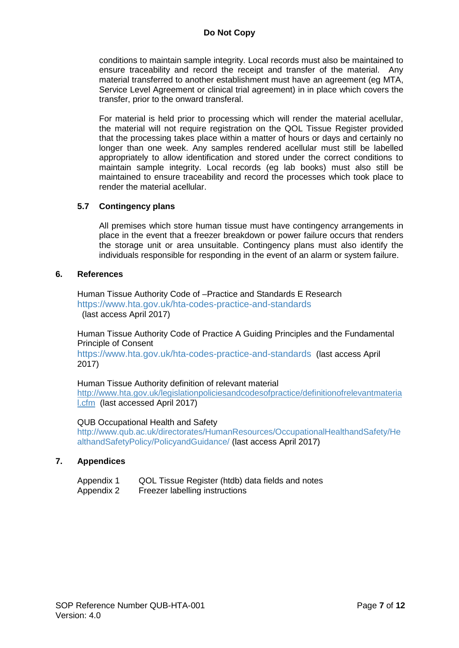conditions to maintain sample integrity. Local records must also be maintained to ensure traceability and record the receipt and transfer of the material. Any material transferred to another establishment must have an agreement (eg MTA, Service Level Agreement or clinical trial agreement) in in place which covers the transfer, prior to the onward transferal.

For material is held prior to processing which will render the material acellular, the material will not require registration on the QOL Tissue Register provided that the processing takes place within a matter of hours or days and certainly no longer than one week. Any samples rendered acellular must still be labelled appropriately to allow identification and stored under the correct conditions to maintain sample integrity. Local records (eg lab books) must also still be maintained to ensure traceability and record the processes which took place to render the material acellular.

## **5.7 Contingency plans**

All premises which store human tissue must have contingency arrangements in place in the event that a freezer breakdown or power failure occurs that renders the storage unit or area unsuitable. Contingency plans must also identify the individuals responsible for responding in the event of an alarm or system failure.

#### **6. References**

Human Tissue Authority Code of –Practice and Standards E Research <https://www.hta.gov.uk/hta-codes-practice-and-standards> (last access April 2017)

Human Tissue Authority Code of Practice A Guiding Principles and the Fundamental Principle of Consent

<https://www.hta.gov.uk/hta-codes-practice-and-standards> (last access April 2017)

Human Tissue Authority definition of relevant material [http://www.hta.gov.uk/legislationpoliciesandcodesofpractice/definitionofrelevantmateria](http://www.hta.gov.uk/legislationpoliciesandcodesofpractice/definitionofrelevantmaterial.cfm) [l.cfm](http://www.hta.gov.uk/legislationpoliciesandcodesofpractice/definitionofrelevantmaterial.cfm) (last accessed April 2017)

#### QUB Occupational Health and Safety

[http://www.qub.ac.uk/directorates/HumanResources/OccupationalHealthandSafety/He](http://www.qub.ac.uk/directorates/HumanResources/OccupationalHealthandSafety/HealthandSafetyPolicy/PolicyandGuidance/) [althandSafetyPolicy/PolicyandGuidance/](http://www.qub.ac.uk/directorates/HumanResources/OccupationalHealthandSafety/HealthandSafetyPolicy/PolicyandGuidance/) (last access April 2017)

#### **7. Appendices**

| Appendix 1 | QOL Tissue Register (htdb) data fields and notes |  |  |
|------------|--------------------------------------------------|--|--|
|            |                                                  |  |  |

Appendix 2 Freezer labelling instructions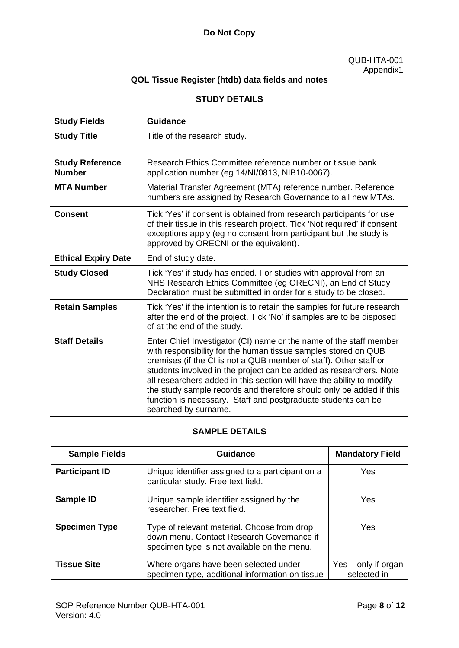# **Do Not Copy**

#### QUB-HTA-001 Appendix1

# **QOL Tissue Register (htdb) data fields and notes**

# **STUDY DETAILS**

| <b>Study Fields</b>                     | <b>Guidance</b>                                                                                                                                                                                                                                                                                                                                                                                                                                                                                                          |
|-----------------------------------------|--------------------------------------------------------------------------------------------------------------------------------------------------------------------------------------------------------------------------------------------------------------------------------------------------------------------------------------------------------------------------------------------------------------------------------------------------------------------------------------------------------------------------|
| <b>Study Title</b>                      | Title of the research study.                                                                                                                                                                                                                                                                                                                                                                                                                                                                                             |
| <b>Study Reference</b><br><b>Number</b> | Research Ethics Committee reference number or tissue bank<br>application number (eg 14/NI/0813, NIB10-0067).                                                                                                                                                                                                                                                                                                                                                                                                             |
| <b>MTA Number</b>                       | Material Transfer Agreement (MTA) reference number. Reference<br>numbers are assigned by Research Governance to all new MTAs.                                                                                                                                                                                                                                                                                                                                                                                            |
| <b>Consent</b>                          | Tick 'Yes' if consent is obtained from research participants for use<br>of their tissue in this research project. Tick 'Not required' if consent<br>exceptions apply (eg no consent from participant but the study is<br>approved by ORECNI or the equivalent).                                                                                                                                                                                                                                                          |
| <b>Ethical Expiry Date</b>              | End of study date.                                                                                                                                                                                                                                                                                                                                                                                                                                                                                                       |
| <b>Study Closed</b>                     | Tick 'Yes' if study has ended. For studies with approval from an<br>NHS Research Ethics Committee (eg ORECNI), an End of Study<br>Declaration must be submitted in order for a study to be closed.                                                                                                                                                                                                                                                                                                                       |
| <b>Retain Samples</b>                   | Tick 'Yes' if the intention is to retain the samples for future research<br>after the end of the project. Tick 'No' if samples are to be disposed<br>of at the end of the study.                                                                                                                                                                                                                                                                                                                                         |
| <b>Staff Details</b>                    | Enter Chief Investigator (CI) name or the name of the staff member<br>with responsibility for the human tissue samples stored on QUB<br>premises (if the CI is not a QUB member of staff). Other staff or<br>students involved in the project can be added as researchers. Note<br>all researchers added in this section will have the ability to modify<br>the study sample records and therefore should only be added if this<br>function is necessary. Staff and postgraduate students can be<br>searched by surname. |

# **SAMPLE DETAILS**

| <b>Sample Fields</b>  | <b>Guidance</b>                                                                                                                         | <b>Mandatory Field</b>             |
|-----------------------|-----------------------------------------------------------------------------------------------------------------------------------------|------------------------------------|
| <b>Participant ID</b> | Unique identifier assigned to a participant on a<br>particular study. Free text field.                                                  | Yes                                |
| Sample ID             | Unique sample identifier assigned by the<br>researcher. Free text field.                                                                | Yes.                               |
| <b>Specimen Type</b>  | Type of relevant material. Choose from drop<br>down menu. Contact Research Governance if<br>specimen type is not available on the menu. | Yes.                               |
| <b>Tissue Site</b>    | Where organs have been selected under<br>specimen type, additional information on tissue                                                | Yes – only if organ<br>selected in |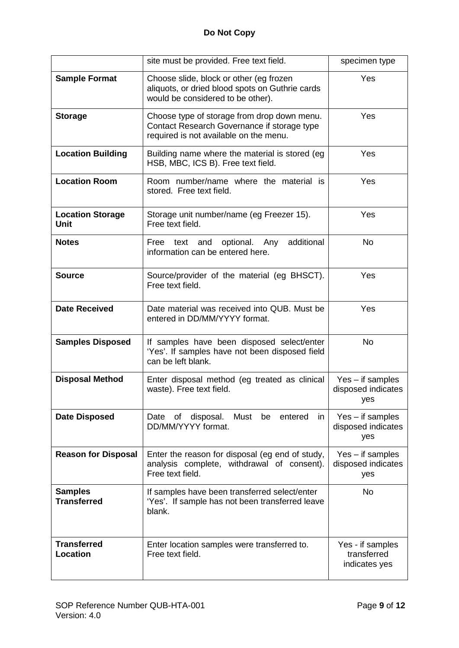|                                        | site must be provided. Free text field.                                                                                              | specimen type                                    |
|----------------------------------------|--------------------------------------------------------------------------------------------------------------------------------------|--------------------------------------------------|
| <b>Sample Format</b>                   | Choose slide, block or other (eg frozen<br>aliquots, or dried blood spots on Guthrie cards<br>would be considered to be other).      | Yes                                              |
| <b>Storage</b>                         | Choose type of storage from drop down menu.<br>Contact Research Governance if storage type<br>required is not available on the menu. | Yes                                              |
| <b>Location Building</b>               | Building name where the material is stored (eg)<br>HSB, MBC, ICS B). Free text field.                                                | Yes                                              |
| <b>Location Room</b>                   | Room number/name where the material is<br>stored. Free text field.                                                                   | Yes                                              |
| <b>Location Storage</b><br><b>Unit</b> | Storage unit number/name (eg Freezer 15).<br>Free text field.                                                                        | Yes                                              |
| <b>Notes</b>                           | additional<br>optional.<br>Free<br>and<br>Any<br>text<br>information can be entered here.                                            | <b>No</b>                                        |
| <b>Source</b>                          | Source/provider of the material (eg BHSCT).<br>Free text field.                                                                      | Yes                                              |
| <b>Date Received</b>                   | Date material was received into QUB. Must be<br>entered in DD/MM/YYYY format.                                                        | Yes                                              |
| <b>Samples Disposed</b>                | If samples have been disposed select/enter<br>'Yes'. If samples have not been disposed field<br>can be left blank.                   | <b>No</b>                                        |
| <b>Disposal Method</b>                 | Enter disposal method (eg treated as clinical<br>waste). Free text field.                                                            | $Yes - if samples$<br>disposed indicates<br>yes  |
| <b>Date Disposed</b>                   | Date of disposal.<br>Must be entered<br>in<br>DD/MM/YYYY format.                                                                     | $Yes - if samples$<br>disposed indicates<br>yes  |
| <b>Reason for Disposal</b>             | Enter the reason for disposal (eg end of study,<br>analysis complete, withdrawal of consent).<br>Free text field.                    | $Yes - if samples$<br>disposed indicates<br>yes  |
| <b>Samples</b><br><b>Transferred</b>   | If samples have been transferred select/enter<br>'Yes'. If sample has not been transferred leave<br>blank.                           | <b>No</b>                                        |
| <b>Transferred</b><br><b>Location</b>  | Enter location samples were transferred to.<br>Free text field.                                                                      | Yes - if samples<br>transferred<br>indicates yes |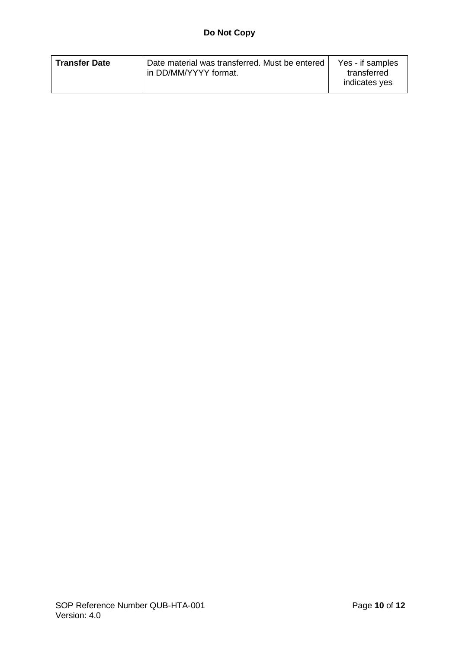| in DD/MM/YYYY format.<br>transferred<br>indicates yes | <b>Transfer Date</b> | Date material was transferred. Must be entered ' | Yes - if samples |
|-------------------------------------------------------|----------------------|--------------------------------------------------|------------------|
|-------------------------------------------------------|----------------------|--------------------------------------------------|------------------|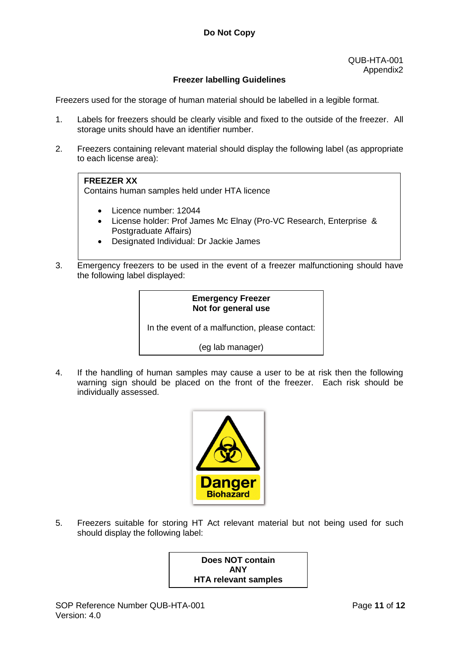# **Freezer labelling Guidelines**

Freezers used for the storage of human material should be labelled in a legible format.

- 1. Labels for freezers should be clearly visible and fixed to the outside of the freezer. All storage units should have an identifier number.
- 2. Freezers containing relevant material should display the following label (as appropriate to each license area):

## **FREEZER XX**

Contains human samples held under HTA licence

- Licence number: 12044
- License holder: Prof James Mc Elnay (Pro-VC Research, Enterprise & Postgraduate Affairs)
- Designated Individual: Dr Jackie James
- 3. Emergency freezers to be used in the event of a freezer malfunctioning should have the following label displayed:

## **Emergency Freezer Not for general use**

In the event of a malfunction, please contact:

(eg lab manager)

4. If the handling of human samples may cause a user to be at risk then the following warning sign should be placed on the front of the freezer. Each risk should be individually assessed.



5. Freezers suitable for storing HT Act relevant material but not being used for such should display the following label:

> **Does NOT contain ANY HTA relevant samples**